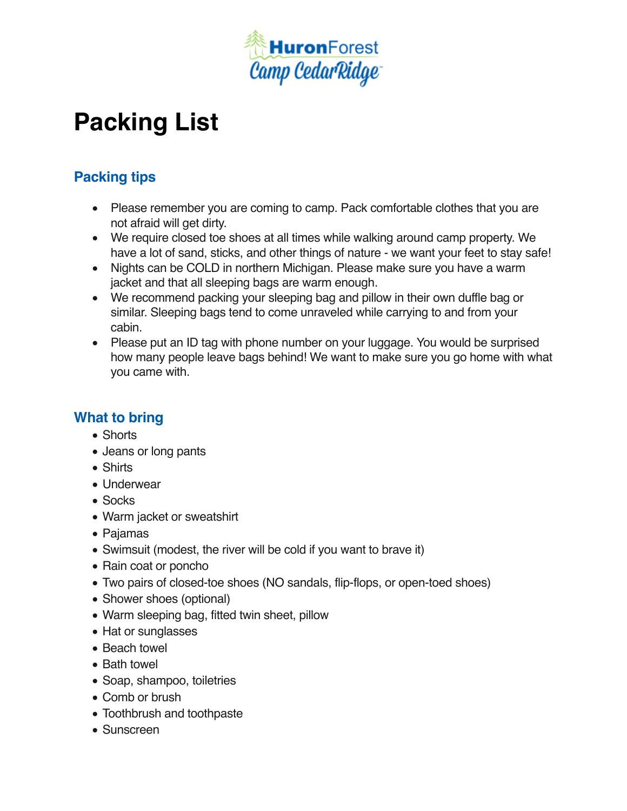

## **Packing List**

## **Packing tips**

- Please remember you are coming to camp. Pack comfortable clothes that you are not afraid will get dirty.
- We require closed toe shoes at all times while walking around camp property. We have a lot of sand, sticks, and other things of nature - we want your feet to stay safe!
- Nights can be COLD in northern Michigan. Please make sure you have a warm jacket and that all sleeping bags are warm enough.
- We recommend packing your sleeping bag and pillow in their own duffle bag or similar. Sleeping bags tend to come unraveled while carrying to and from your cabin.
- Please put an ID tag with phone number on your luggage. You would be surprised how many people leave bags behind! We want to make sure you go home with what you came with.

## **What to bring**

- Shorts
- Jeans or long pants
- Shirts
- Underwear
- Socks
- Warm jacket or sweatshirt
- Pajamas
- Swimsuit (modest, the river will be cold if you want to brave it)
- Rain coat or poncho
- Two pairs of closed-toe shoes (NO sandals, flip-flops, or open-toed shoes)
- Shower shoes (optional)
- Warm sleeping bag, fitted twin sheet, pillow
- Hat or sunglasses
- Beach towel
- Bath towel
- Soap, shampoo, toiletries
- Comb or brush
- Toothbrush and toothpaste
- Sunscreen